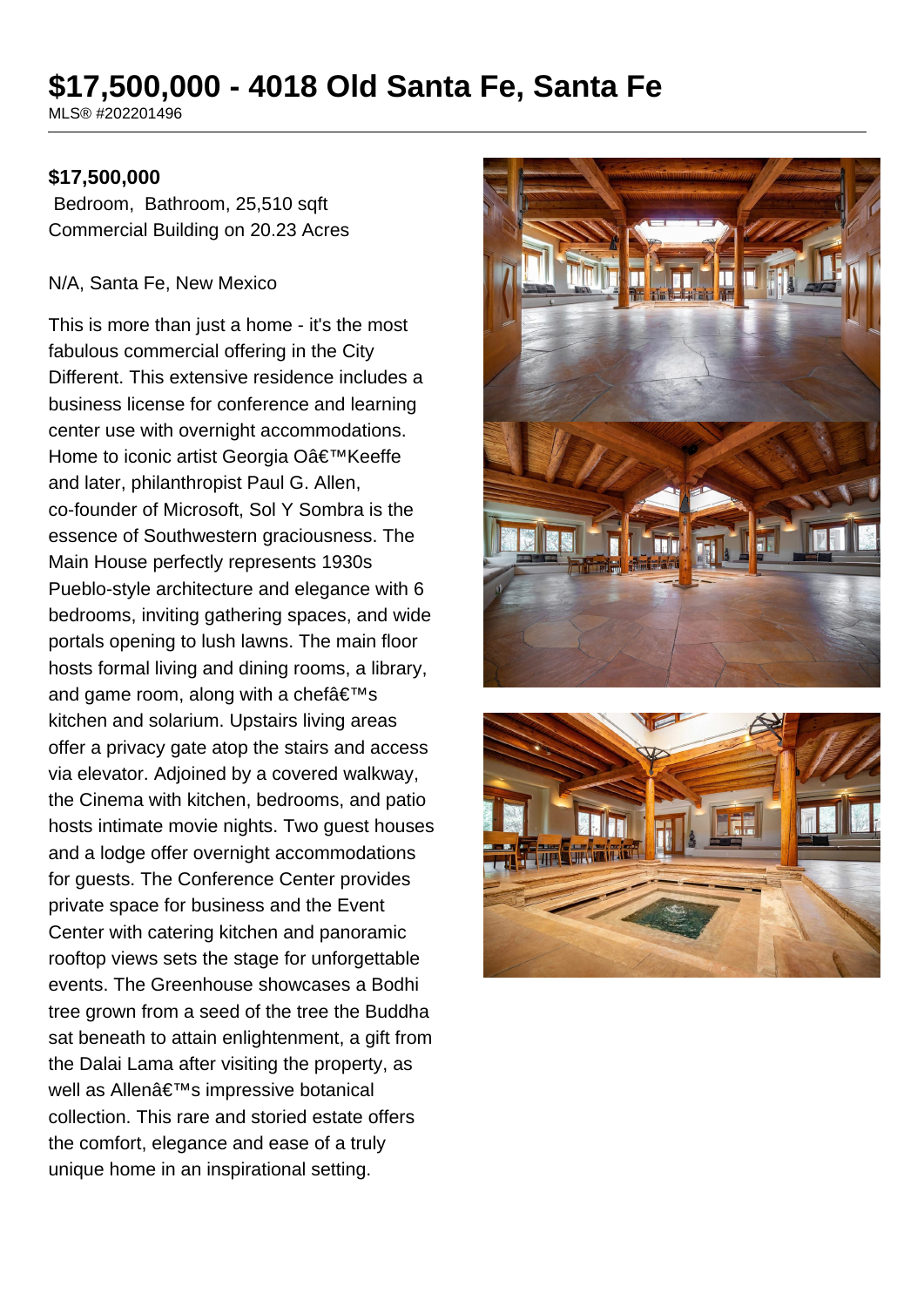# **\$17,500,000 - 4018 Old Santa Fe, Santa Fe**

MLS® #202201496

#### **\$17,500,000**

 Bedroom, Bathroom, 25,510 sqft Commercial Building on 20.23 Acres

#### N/A, Santa Fe, New Mexico

This is more than just a home - it's the most fabulous commercial offering in the City Different. This extensive residence includes a business license for conference and learning center use with overnight accommodations. Home to iconic artist Georgia O'Keeffe and later, philanthropist Paul G. Allen, co-founder of Microsoft, Sol Y Sombra is the essence of Southwestern graciousness. The Main House perfectly represents 1930s Pueblo-style architecture and elegance with 6 bedrooms, inviting gathering spaces, and wide portals opening to lush lawns. The main floor hosts formal living and dining rooms, a library, and game room, along with a chef $a \in T^M$ s kitchen and solarium. Upstairs living areas offer a privacy gate atop the stairs and access via elevator. Adjoined by a covered walkway, the Cinema with kitchen, bedrooms, and patio hosts intimate movie nights. Two guest houses and a lodge offer overnight accommodations for guests. The Conference Center provides private space for business and the Event Center with catering kitchen and panoramic rooftop views sets the stage for unforgettable events. The Greenhouse showcases a Bodhi tree grown from a seed of the tree the Buddha sat beneath to attain enlightenment, a gift from the Dalai Lama after visiting the property, as well as Allen's impressive botanical collection. This rare and storied estate offers the comfort, elegance and ease of a truly unique home in an inspirational setting.



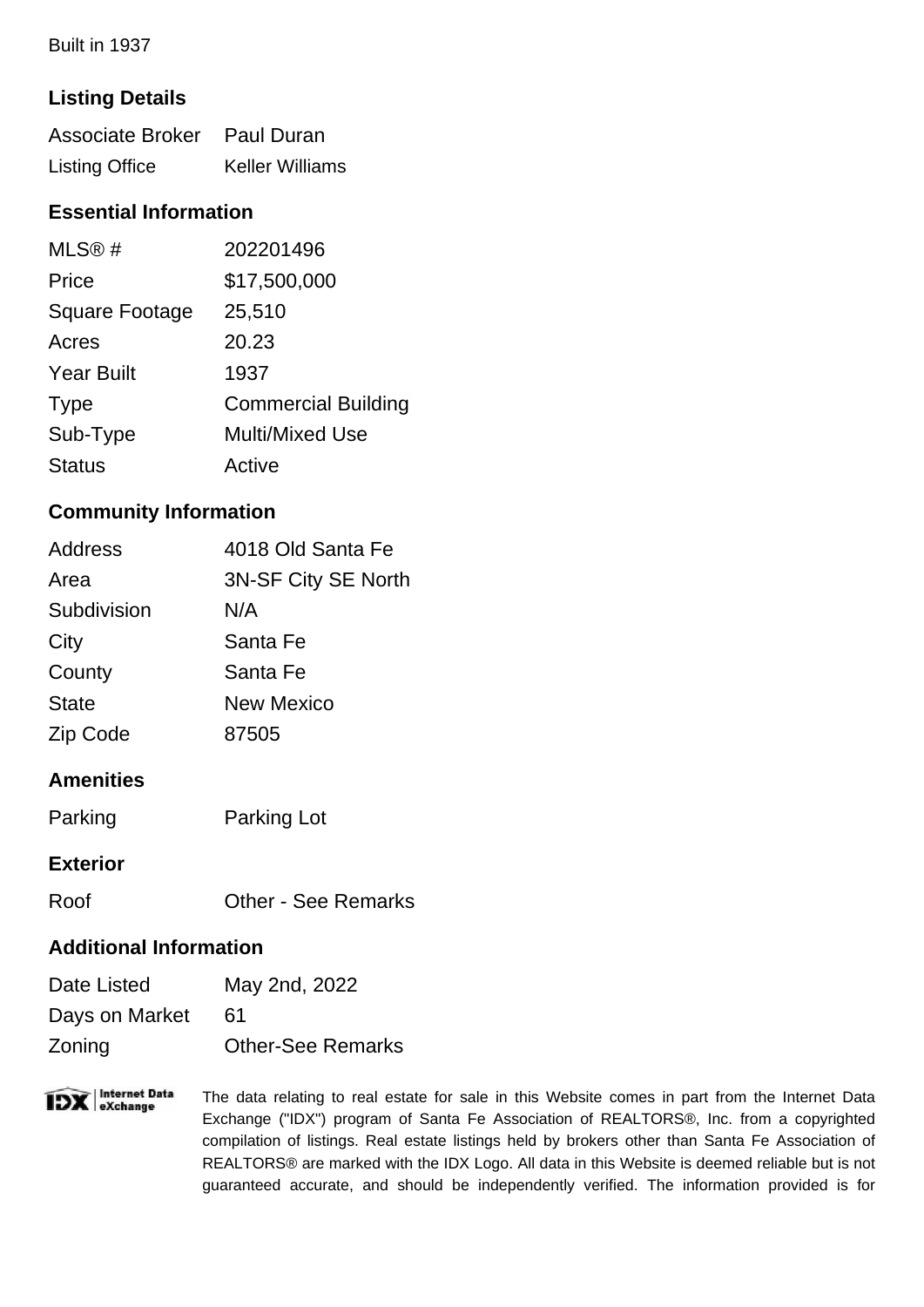Built in 1937

# **Listing Details**

| Associate Broker Paul Duran |                        |
|-----------------------------|------------------------|
| <b>Listing Office</b>       | <b>Keller Williams</b> |

## **Essential Information**

| MLS@#                 | 202201496                  |
|-----------------------|----------------------------|
| Price                 | \$17,500,000               |
| <b>Square Footage</b> | 25,510                     |
| Acres                 | 20.23                      |
| <b>Year Built</b>     | 1937                       |
| <b>Type</b>           | <b>Commercial Building</b> |
| Sub-Type              | <b>Multi/Mixed Use</b>     |
| <b>Status</b>         | Active                     |

### **Community Information**

| <b>Address</b> | 4018 Old Santa Fe   |
|----------------|---------------------|
| Area           | 3N-SF City SE North |
| Subdivision    | N/A                 |
| City           | Santa Fe            |
| County         | Santa Fe            |
| <b>State</b>   | <b>New Mexico</b>   |
| Zip Code       | 87505               |

# **Amenities**

| Parking | <b>Parking Lot</b> |
|---------|--------------------|
|---------|--------------------|

#### **Exterior**

Roof Other - See Remarks

#### **Additional Information**

| Date Listed    | May 2nd, 2022            |
|----------------|--------------------------|
| Days on Market | 61                       |
| Zoning         | <b>Other-See Remarks</b> |

**IDX** eXchange The data relating to real estate for sale in this Website comes in part from the Internet Data Exchange ("IDX") program of Santa Fe Association of REALTORS®, Inc. from a copyrighted compilation of listings. Real estate listings held by brokers other than Santa Fe Association of REALTORS® are marked with the IDX Logo. All data in this Website is deemed reliable but is not guaranteed accurate, and should be independently verified. The information provided is for